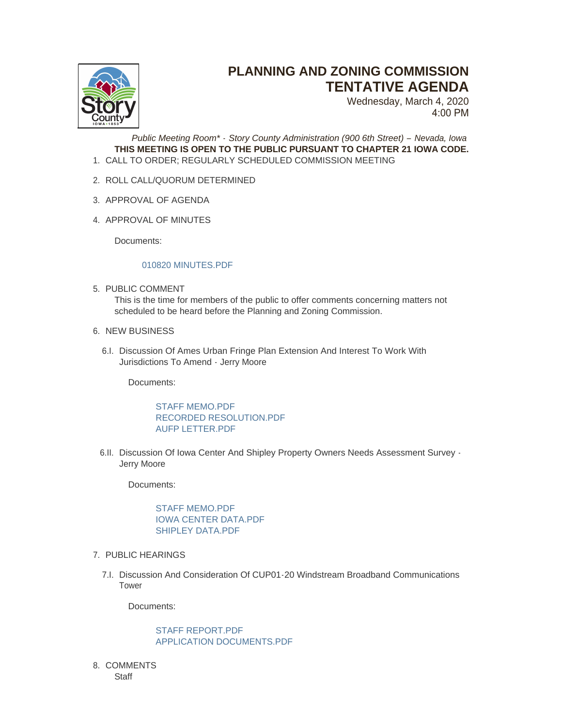

## **PLANNING AND ZONING COMMISSION TENTATIVE AGENDA**

Wednesday, March 4, 2020 4:00 PM

*Public Meeting Room\* - Story County Administration (900 6th Street) – Nevada, Iowa* **THIS MEETING IS OPEN TO THE PUBLIC PURSUANT TO CHAPTER 21 IOWA CODE.** CALL TO ORDER; REGULARLY SCHEDULED COMMISSION MEETING 1.

- 2. ROLL CALL/QUORUM DETERMINED
- 3. APPROVAL OF AGENDA
- 4. APPROVAL OF MINUTES

Documents:

## [010820 MINUTES.PDF](http://www.storycountyiowa.gov/AgendaCenter/ViewFile/Item/16700?fileID=12956)

5. PUBLIC COMMENT

This is the time for members of the public to offer comments concerning matters not scheduled to be heard before the Planning and Zoning Commission.

- 6. NEW BUSINESS
	- 6.I. Discussion Of Ames Urban Fringe Plan Extension And Interest To Work With Jurisdictions To Amend - Jerry Moore

Documents:

[STAFF MEMO.PDF](http://www.storycountyiowa.gov/AgendaCenter/ViewFile/Item/16688?fileID=12949) [RECORDED RESOLUTION.PDF](http://www.storycountyiowa.gov/AgendaCenter/ViewFile/Item/16688?fileID=12950) [AUFP LETTER.PDF](http://www.storycountyiowa.gov/AgendaCenter/ViewFile/Item/16688?fileID=12951)

6.II. Discussion Of Iowa Center And Shipley Property Owners Needs Assessment Survey -Jerry Moore

Documents:

[STAFF MEMO.PDF](http://www.storycountyiowa.gov/AgendaCenter/ViewFile/Item/16689?fileID=12952) [IOWA CENTER DATA.PDF](http://www.storycountyiowa.gov/AgendaCenter/ViewFile/Item/16689?fileID=12953) [SHIPLEY DATA.PDF](http://www.storycountyiowa.gov/AgendaCenter/ViewFile/Item/16689?fileID=12954)

- 7. PUBLIC HEARINGS
	- 7.I. Discussion And Consideration Of CUP01-20 Windstream Broadband Communications Tower

Documents:

[STAFF REPORT.PDF](http://www.storycountyiowa.gov/AgendaCenter/ViewFile/Item/16703?fileID=12959) [APPLICATION DOCUMENTS.PDF](http://www.storycountyiowa.gov/AgendaCenter/ViewFile/Item/16703?fileID=12960)

8. COMMENTS **Staff**